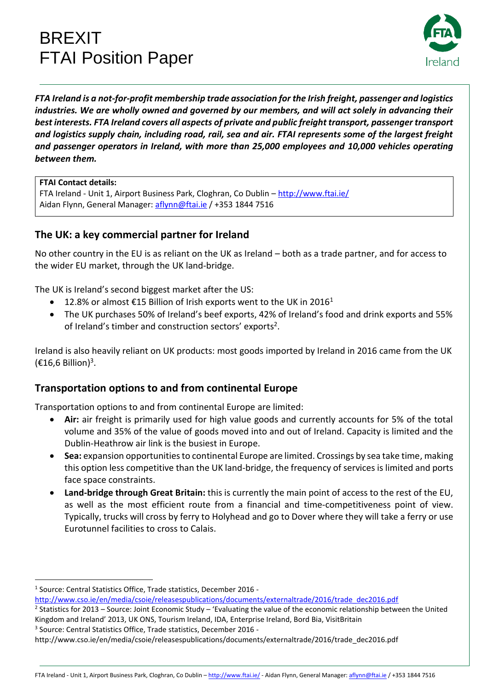# BREXIT FTAI Position Paper



*FTA Ireland is a not-for-profit membership trade association for the Irish freight, passenger and logistics industries. We are wholly owned and governed by our members, and will act solely in advancing their best interests. FTA Ireland covers all aspects of private and public freight transport, passenger transport and logistics supply chain, including road, rail, sea and air. FTAI represents some of the largest freight and passenger operators in Ireland, with more than 25,000 employees and 10,000 vehicles operating between them.*

#### **FTAI Contact details:**

FTA Ireland - Unit 1, Airport Business Park, Cloghran, Co Dublin – [http://www.ftai.ie/](http://www.ftai.ie/-) Aidan Flynn, General Manager: [aflynn@ftai.ie](mailto:aflynn@ftai.ie) / +353 1844 7516

# **The UK: a key commercial partner for Ireland**

No other country in the EU is as reliant on the UK as Ireland – both as a trade partner, and for access to the wider EU market, through the UK land-bridge.

The UK is Ireland's second biggest market after the US:

- 12.8% or almost €15 Billion of Irish exports went to the UK in 2016<sup>1</sup>
- The UK purchases 50% of Ireland's beef exports, 42% of Ireland's food and drink exports and 55% of Ireland's timber and construction sectors' exports<sup>2</sup>.

Ireland is also heavily reliant on UK products: most goods imported by Ireland in 2016 came from the UK  $(\text{\textsterling}16, 6 \text{ Billion})^3$ .

## **Transportation options to and from continental Europe**

Transportation options to and from continental Europe are limited:

- **Air:** air freight is primarily used for high value goods and currently accounts for 5% of the total volume and 35% of the value of goods moved into and out of Ireland. Capacity is limited and the Dublin-Heathrow air link is the busiest in Europe.
- **Sea:** expansion opportunities to continental Europe are limited. Crossings by sea take time, making this option less competitive than the UK land-bridge, the frequency of services is limited and ports face space constraints.
- **Land-bridge through Great Britain:** this is currently the main point of access to the rest of the EU, as well as the most efficient route from a financial and time-competitiveness point of view. Typically, trucks will cross by ferry to Holyhead and go to Dover where they will take a ferry or use Eurotunnel facilities to cross to Calais.

 $\overline{a}$ 

<sup>&</sup>lt;sup>1</sup> Source: Central Statistics Office, Trade statistics, December 2016 -

http://www.cso.ie/en/media/csoie/releasespublications/documents/externaltrade/2016/trade\_dec2016.pdf

 $2$  Statistics for 2013 – Source: Joint Economic Study – 'Evaluating the value of the economic relationship between the United Kingdom and Ireland' 2013, UK ONS, Tourism Ireland, IDA, Enterprise Ireland, Bord Bia, VisitBritain

<sup>3</sup> Source: Central Statistics Office, Trade statistics, December 2016 -

http://www.cso.ie/en/media/csoie/releasespublications/documents/externaltrade/2016/trade\_dec2016.pdf

FTA Ireland - Unit 1, Airport Business Park, Cloghran, Co Dublin – <http://www.ftai.ie/> - Aidan Flynn, General Manager: [aflynn@ftai.ie](mailto:aflynn@ftai.ie) / +353 1844 7516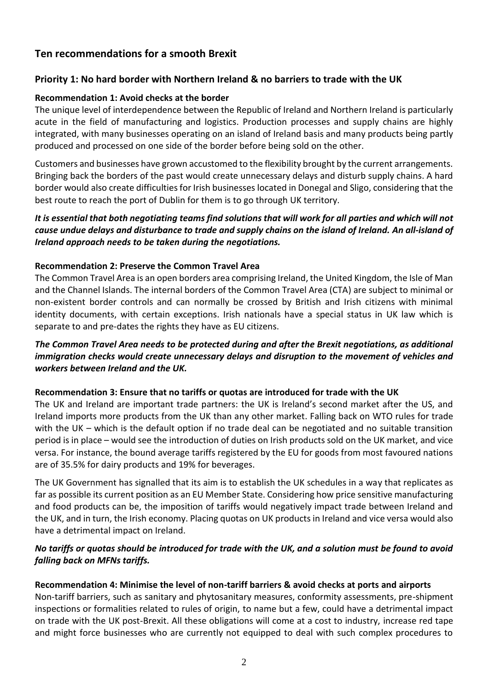# **Ten recommendations for a smooth Brexit**

## **Priority 1: No hard border with Northern Ireland & no barriers to trade with the UK**

## **Recommendation 1: Avoid checks at the border**

The unique level of interdependence between the Republic of Ireland and Northern Ireland is particularly acute in the field of manufacturing and logistics. Production processes and supply chains are highly integrated, with many businesses operating on an island of Ireland basis and many products being partly produced and processed on one side of the border before being sold on the other.

Customers and businesses have grown accustomed to the flexibility brought by the current arrangements. Bringing back the borders of the past would create unnecessary delays and disturb supply chains. A hard border would also create difficulties for Irish businesses located in Donegal and Sligo, considering that the best route to reach the port of Dublin for them is to go through UK territory.

### *It is essential that both negotiating teams find solutions that will work for all parties and which will not cause undue delays and disturbance to trade and supply chains on the island of Ireland. An all-island of Ireland approach needs to be taken during the negotiations.*

## **Recommendation 2: Preserve the Common Travel Area**

The Common Travel Area is an open borders area comprising Ireland, the United Kingdom, the Isle of Man and the Channel Islands. The internal borders of the Common Travel Area (CTA) are subject to minimal or non-existent border controls and can normally be crossed by British and Irish citizens with minimal identity documents, with certain exceptions. Irish nationals have a special status in UK law which is separate to and pre-dates the rights they have as EU citizens.

## *The Common Travel Area needs to be protected during and after the Brexit negotiations, as additional immigration checks would create unnecessary delays and disruption to the movement of vehicles and workers between Ireland and the UK.*

#### **Recommendation 3: Ensure that no tariffs or quotas are introduced for trade with the UK**

The UK and Ireland are important trade partners: the UK is Ireland's second market after the US, and Ireland imports more products from the UK than any other market. Falling back on WTO rules for trade with the UK – which is the default option if no trade deal can be negotiated and no suitable transition period is in place – would see the introduction of duties on Irish products sold on the UK market, and vice versa. For instance, the bound average tariffs registered by the EU for goods from most favoured nations are of 35.5% for dairy products and 19% for beverages.

The UK Government has signalled that its aim is to establish the UK schedules in a way that replicates as far as possible its current position as an EU Member State. Considering how price sensitive manufacturing and food products can be, the imposition of tariffs would negatively impact trade between Ireland and the UK, and in turn, the Irish economy. Placing quotas on UK products in Ireland and vice versa would also have a detrimental impact on Ireland.

## *No tariffs or quotas should be introduced for trade with the UK, and a solution must be found to avoid falling back on MFNs tariffs.*

## **Recommendation 4: Minimise the level of non-tariff barriers & avoid checks at ports and airports**

Non-tariff barriers, such as sanitary and phytosanitary measures, conformity assessments, pre-shipment inspections or formalities related to rules of origin, to name but a few, could have a detrimental impact on trade with the UK post-Brexit. All these obligations will come at a cost to industry, increase red tape and might force businesses who are currently not equipped to deal with such complex procedures to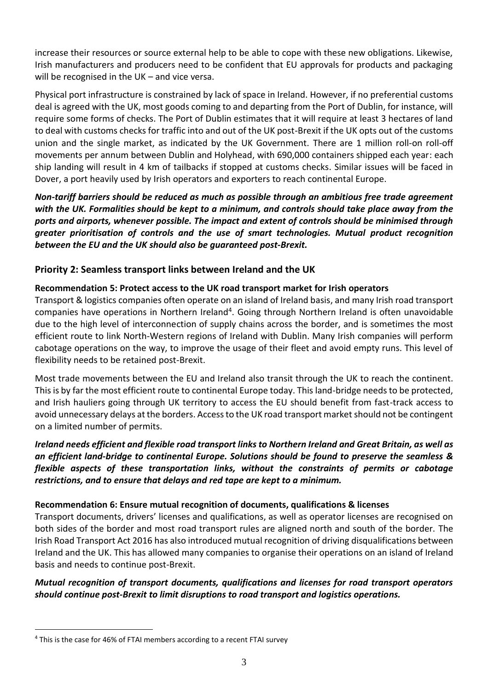increase their resources or source external help to be able to cope with these new obligations. Likewise, Irish manufacturers and producers need to be confident that EU approvals for products and packaging will be recognised in the UK – and vice versa.

Physical port infrastructure is constrained by lack of space in Ireland. However, if no preferential customs deal is agreed with the UK, most goods coming to and departing from the Port of Dublin, for instance, will require some forms of checks. The Port of Dublin estimates that it will require at least 3 hectares of land to deal with customs checks for traffic into and out of the UK post-Brexit if the UK opts out of the customs union and the single market, as indicated by the UK Government. There are 1 million roll-on roll-off movements per annum between Dublin and Holyhead, with 690,000 containers shipped each year: each ship landing will result in 4 km of tailbacks if stopped at customs checks. Similar issues will be faced in Dover, a port heavily used by Irish operators and exporters to reach continental Europe.

*Non-tariff barriers should be reduced as much as possible through an ambitious free trade agreement with the UK. Formalities should be kept to a minimum, and controls should take place away from the ports and airports, whenever possible. The impact and extent of controls should be minimised through greater prioritisation of controls and the use of smart technologies. Mutual product recognition between the EU and the UK should also be guaranteed post-Brexit.* 

## **Priority 2: Seamless transport links between Ireland and the UK**

## **Recommendation 5: Protect access to the UK road transport market for Irish operators**

Transport & logistics companies often operate on an island of Ireland basis, and many Irish road transport companies have operations in Northern Ireland<sup>4</sup>. Going through Northern Ireland is often unavoidable due to the high level of interconnection of supply chains across the border, and is sometimes the most efficient route to link North-Western regions of Ireland with Dublin. Many Irish companies will perform cabotage operations on the way, to improve the usage of their fleet and avoid empty runs. This level of flexibility needs to be retained post-Brexit.

Most trade movements between the EU and Ireland also transit through the UK to reach the continent. This is by far the most efficient route to continental Europe today. This land-bridge needs to be protected, and Irish hauliers going through UK territory to access the EU should benefit from fast-track access to avoid unnecessary delays at the borders. Access to the UK road transport market should not be contingent on a limited number of permits.

*Ireland needs efficient and flexible road transport links to Northern Ireland and Great Britain, as well as an efficient land-bridge to continental Europe. Solutions should be found to preserve the seamless & flexible aspects of these transportation links, without the constraints of permits or cabotage restrictions, and to ensure that delays and red tape are kept to a minimum.* 

#### **Recommendation 6: Ensure mutual recognition of documents, qualifications & licenses**

Transport documents, drivers' licenses and qualifications, as well as operator licenses are recognised on both sides of the border and most road transport rules are aligned north and south of the border. The Irish Road Transport Act 2016 has also introduced mutual recognition of driving disqualifications between Ireland and the UK. This has allowed many companies to organise their operations on an island of Ireland basis and needs to continue post-Brexit.

## *Mutual recognition of transport documents, qualifications and licenses for road transport operators should continue post-Brexit to limit disruptions to road transport and logistics operations.*

 $\overline{a}$ 

<sup>4</sup> This is the case for 46% of FTAI members according to a recent FTAI survey